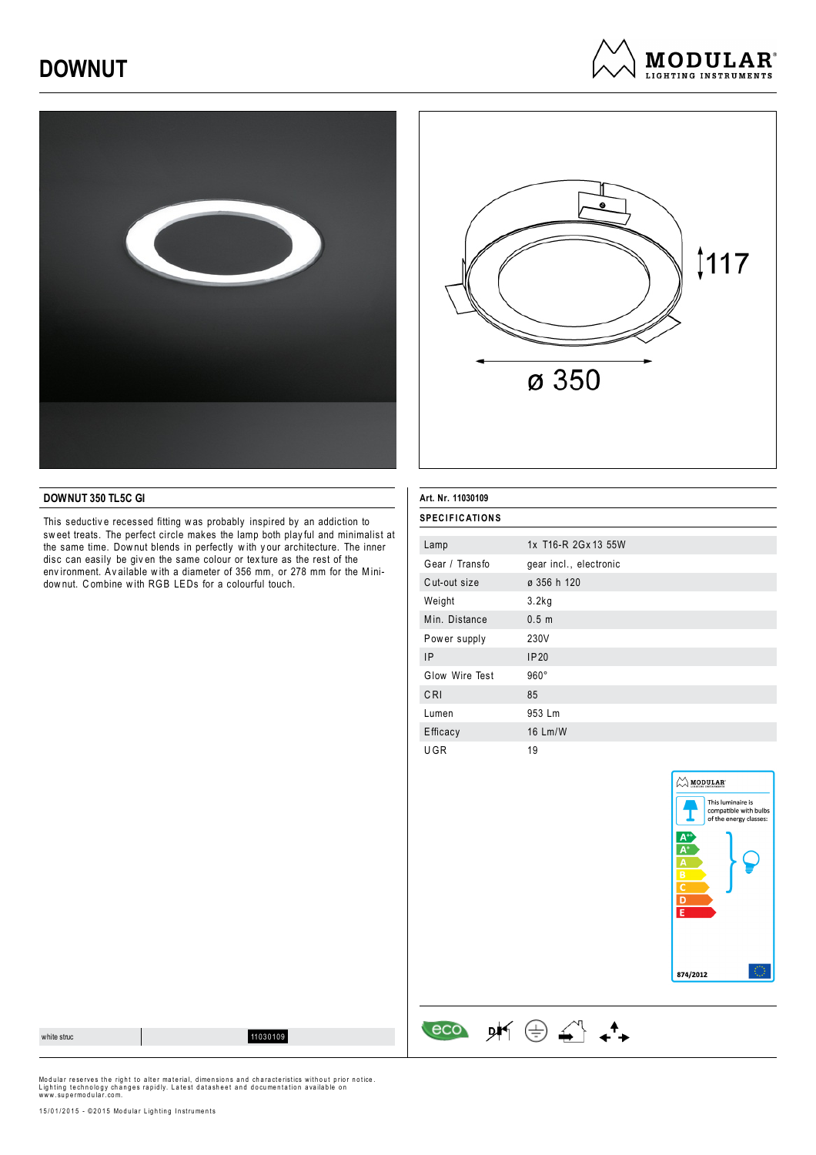# **DOWNUT**







#### **DOWNUT 350 TL5C GI**

This seductiv e recessed fitting w as probably inspired by an addiction to sw eet treats. The perfect circle makes the lamp both play ful and minimalist at the same time. Dow nut blends in perfectly w ith y our architecture. The inner disc can easily be giv en the same colour or tex ture as the rest of the env ironment. Av ailable w ith a diameter of 356 mm, or 278 mm for the Minidow nut. C ombine w ith RGB LEDs for a colourful touch.

### **Art. Nr. 11030109 SPECIFICATIONS**

 $\begin{array}{ccccc}\n\text{eco} & \text{pK} & \oplus & \stackrel{\curvearrowleft}{\longrightarrow} & \rightarrow\n\end{array}$ 

| Lamp           | 1x T16-R 2Gx 13 55W    |
|----------------|------------------------|
| Gear / Transfo | gear incl., electronic |
| Cut-out size   | ø 356 h 120            |
| Weight         | 3.2kg                  |
| Min. Distance  | 0.5 <sub>m</sub>       |
| Power supply   | 230V                   |
| <b>IP</b>      | IP20                   |
| Glow Wire Test | $960^\circ$            |
| CRI            | 85                     |
| Lumen          | 953 Lm                 |
| Efficacy       | 16 Lm/W                |
| UGR            | 19                     |



white structure of the structure of the structure of the structure of the structure of the structure of the structure of the structure of the structure of the structure of the structure of the structure of the structure of

Modular reserves the right to alter material, dimensions and characteristics without prior notice.<br>Lighting technology changes rapidly. Latest datasheet and documentation available on<br>www.supermodular.com.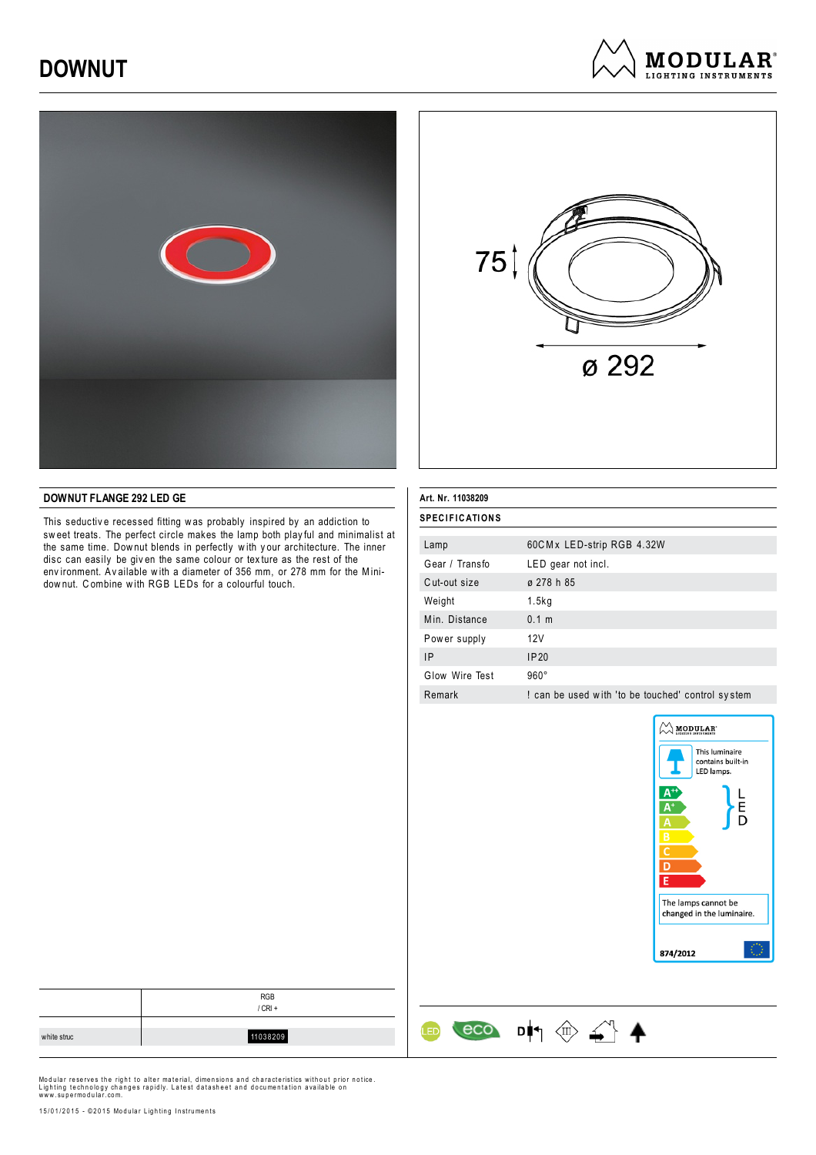# **DOWNUT**







#### **DOWNUT FLANGE 292 LED GE**

This seductive recessed fitting was probably inspired by an addiction to sw eet treats. The perfect circle makes the lamp both play ful and minimalist at the same time. Dow nut blends in perfectly w ith y our architecture. The inner disc can easily be giv en the same colour or tex ture as the rest of the env ironment. Av ailable w ith a diameter of 356 mm, or 278 mm for the Minidow nut. C ombine w ith RGB LEDs for a colourful touch.

| Art. Nr. 11038209<br><b>SPECIFICATIONS</b> |                                                   |  |
|--------------------------------------------|---------------------------------------------------|--|
|                                            |                                                   |  |
| Gear / Transfo                             | LED gear not incl.                                |  |
| Cut-out size                               | ø 278 h 85                                        |  |
| Weight                                     | 1.5kg                                             |  |
| Min. Distance                              | 0.1 m                                             |  |
| Power supply                               | 12V                                               |  |
| <b>IP</b>                                  | IP20                                              |  |
| Glow Wire Test                             | $960^\circ$                                       |  |
| Remark                                     | ! can be used with 'to be touched' control system |  |

 $\circ \circ$  DI  $\circ \circ$   $\circ$ 

ŒD



|             | <b>RGB</b><br>$/$ CRI + |
|-------------|-------------------------|
| white struc | 11038209                |

Modular reserves the right to alter material, dimensions and characteristics without prior notice.<br>Lighting technology changes rapidly. Latest datasheet and documentation available on<br>www.supermodular.com.